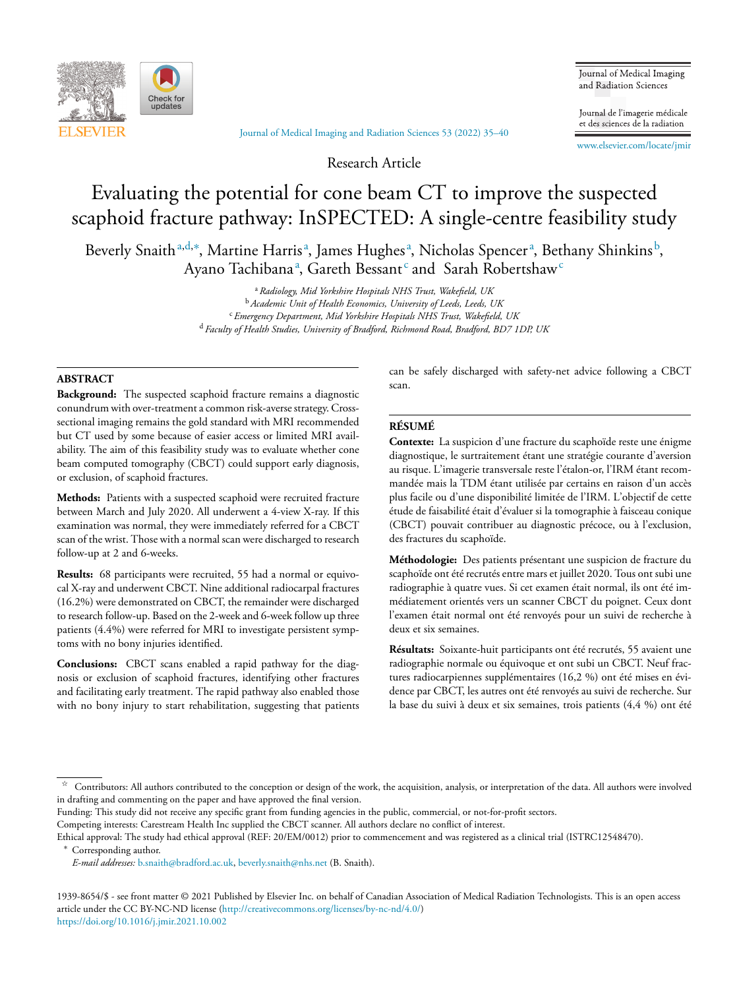

Journal of Medical Imaging and [Radiation](https://doi.org/10.1016/j.jmir.2021.10.002) Sciences 53 (2022) 35–40

Research Article

Journal of Medical Imaging and Radiation Sciences

Journal de l'imagerie médicale et des sciences de la radiation

[www.elsevier.com/locate/jmir](http://www.elsevier.com/locate/jmir)

# Evaluating the potential for cone beam CT to improve the suspected scaphoid fracture pathway: InSPECTED: A single-centre feasibility study

Beverly Snaith<sup>a,d,∗</sup>, Martine Harrisª, James Hughesª, Nicholas Spencerª, Bethany Shinkins<sup>b</sup>, Ayano Tachibanaª, Gareth Bessant $^{\rm c}$  and  $\,$  Sarah Robertshaw $^{\rm c}$ 

> <sup>a</sup> *Radiology, Mid Yorkshire Hospitals NHS Trust, Wakefield, UK* <sup>b</sup> *Academic Unit of Health Economics, University of Leeds, Leeds, UK* <sup>c</sup> *Emergency Department, Mid Yorkshire Hospitals NHS Trust, Wakefield, UK* <sup>d</sup> *Faculty of Health Studies, University of Bradford, Richmond Road, Bradford, BD7 1DP, UK*

## **ABSTRACT**

**Background:** The suspected scaphoid fracture remains a diagnostic conundrum with over-treatment a common risk-averse strategy. Crosssectional imaging remains the gold standard with MRI recommended but CT used by some because of easier access or limited MRI availability. The aim of this feasibility study was to evaluate whether cone beam computed tomography (CBCT) could support early diagnosis, or exclusion, of scaphoid fractures.

**Methods:** Patients with a suspected scaphoid were recruited fracture between March and July 2020. All underwent a 4-view X-ray. If this examination was normal, they were immediately referred for a CBCT scan of the wrist. Those with a normal scan were discharged to research follow-up at 2 and 6-weeks.

**Results:** 68 participants were recruited, 55 had a normal or equivocal X-ray and underwent CBCT. Nine additional radiocarpal fractures (16.2%) were demonstrated on CBCT, the remainder were discharged to research follow-up. Based on the 2-week and 6-week follow up three patients (4.4%) were referred for MRI to investigate persistent symptoms with no bony injuries identified.

**Conclusions:** CBCT scans enabled a rapid pathway for the diagnosis or exclusion of scaphoid fractures, identifying other fractures and facilitating early treatment. The rapid pathway also enabled those with no bony injury to start rehabilitation, suggesting that patients can be safely discharged with safety-net advice following a CBCT scan.

## **RÉSUMÉ**

**Contexte:** La suspicion d'une fracture du scaphoïde reste une énigme diagnostique, le surtraitement étant une stratégie courante d'aversion au risque. L'imagerie transversale reste l'étalon-or, l'IRM étant recommandée mais la TDM étant utilisée par certains en raison d'un accès plus facile ou d'une disponibilité limitée de l'IRM. L'objectif de cette étude de faisabilité était d'évaluer si la tomographie à faisceau conique (CBCT) pouvait contribuer au diagnostic précoce, ou à l'exclusion, des fractures du scaphoïde.

**Méthodologie:** Des patients présentant une suspicion de fracture du scaphoïde ont été recrutés entre mars et juillet 2020. Tous ont subi une radiographie à quatre vues. Si cet examen était normal, ils ont été immédiatement orientés vers un scanner CBCT du poignet. Ceux dont l'examen était normal ont été renvoyés pour un suivi de recherche à deux et six semaines.

**Résultats:** Soixante-huit participants ont été recrutés, 55 avaient une radiographie normale ou équivoque et ont subi un CBCT. Neuf fractures radiocarpiennes supplémentaires (16,2 %) ont été mises en évidence par CBCT, les autres ont été renvoyés au suivi de recherche. Sur la base du suivi à deux et six semaines, trois patients (4,4 %) ont été

Funding: This study did not receive any specific grant from funding agencies in the public, commercial, or not-for-profit sectors.

Competing interests: Carestream Health Inc supplied the CBCT scanner. All authors declare no conflict of interest.

Ethical approval: The study had ethical approval (REF: 20/EM/0012) prior to commencement and was registered as a clinical trial (ISTRC12548470).

Corresponding author.

1939-8654/\$ - see front matter © 2021 Published by Elsevier Inc. on behalf of Canadian Association of Medical Radiation Technologists. This is an open access article under the CC BY-NC-ND license [\(http://creativecommons.org/licenses/by-nc-nd/4.0/\)](http://creativecommons.org/licenses/by-nc-nd/4.0/) <https://doi.org/10.1016/j.jmir.2021.10.002>

 $\approx$  Contributors: All authors contributed to the conception or design of the work, the acquisition, analysis, or interpretation of the data. All authors were involved in drafting and commenting on the paper and have approved the final version.

*E-mail addresses:* [b.snaith@bradford.ac.uk,](mailto:b.snaith@bradford.ac.uk) [beverly.snaith@nhs.net](mailto:beverly.snaith@nhs.net) (B. Snaith).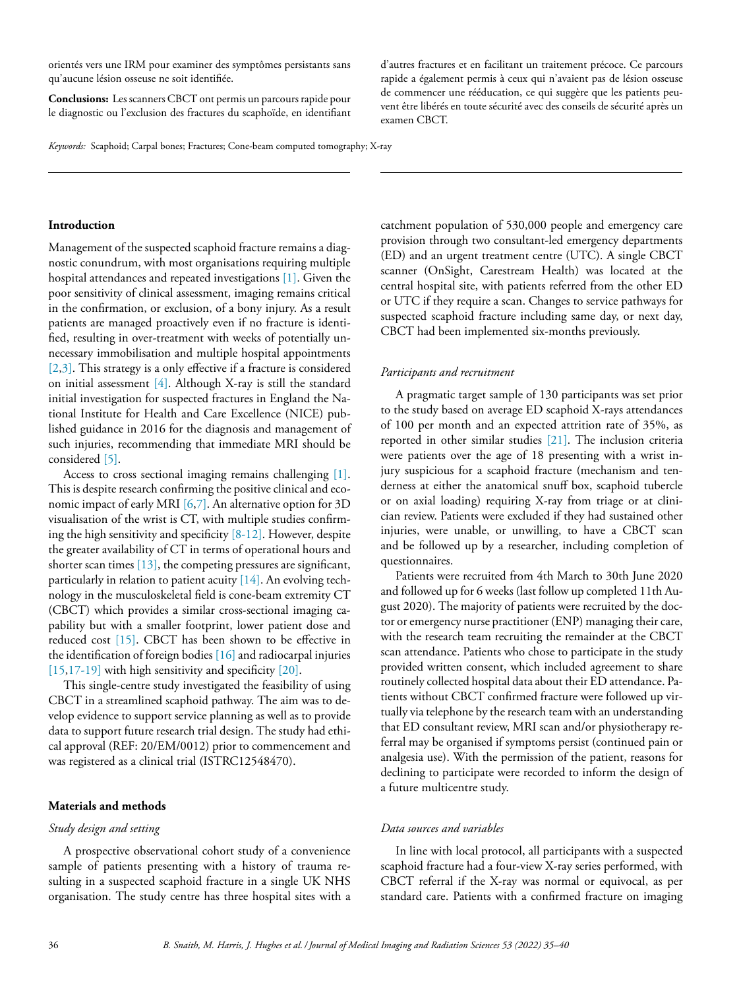orientés vers une IRM pour examiner des symptômes persistants sans qu'aucune lésion osseuse ne soit identifiée.

**Conclusions:** Les scannersCBCT ont permis un parcours rapide pour le diagnostic ou l'exclusion des fractures du scaphoïde, en identifiant d'autres fractures et en facilitant un traitement précoce. Ce parcours rapide a également permis à ceux qui n'avaient pas de lésion osseuse de commencer une rééducation, ce qui suggère que les patients peuvent être libérés en toute sécurité avec des conseils de sécurité après un examen CBCT.

*Keywords:* Scaphoid; Carpal bones; Fractures; Cone-beam computed tomography; X-ray

# **Introduction**

Management of the suspected scaphoid fracture remains a diagnostic conundrum, with most organisations requiring multiple hospital attendances and repeated investigations [\[1\].](#page-5-0) Given the poor sensitivity of clinical assessment, imaging remains critical in the confirmation, or exclusion, of a bony injury. As a result patients are managed proactively even if no fracture is identified, resulting in over-treatment with weeks of potentially unnecessary immobilisation and multiple hospital appointments [\[2,3\].](#page-5-0) This strategy is a only effective if a fracture is considered on initial assessment [\[4\].](#page-5-0) Although X-ray is still the standard initial investigation for suspected fractures in England the National Institute for Health and Care Excellence (NICE) published guidance in 2016 for the diagnosis and management of such injuries, recommending that immediate MRI should be considered [\[5\].](#page-5-0)

Access to cross sectional imaging remains challenging [\[1\].](#page-5-0) This is despite research confirming the positive clinical and economic impact of early MRI [\[6,7\].](#page-5-0) An alternative option for 3D visualisation of the wrist is CT, with multiple studies confirming the high sensitivity and specificity [\[8-12\].](#page-5-0) However, despite the greater availability of CT in terms of operational hours and shorter scan times [\[13\],](#page-5-0) the competing pressures are significant, particularly in relation to patient acuity [\[14\].](#page-5-0) An evolving technology in the musculoskeletal field is cone-beam extremity CT (CBCT) which provides a similar cross-sectional imaging capability but with a smaller footprint, lower patient dose and reduced cost [\[15\].](#page-5-0) CBCT has been shown to be effective in the identification of foreign bodies  $[16]$  and radiocarpal injuries [\[15,17-19\]](#page-5-0) with high sensitivity and specificity [\[20\].](#page-5-0)

This single-centre study investigated the feasibility of using CBCT in a streamlined scaphoid pathway. The aim was to develop evidence to support service planning as well as to provide data to support future research trial design. The study had ethical approval (REF: 20/EM/0012) prior to commencement and was registered as a clinical trial (ISTRC12548470).

## **Materials and methods**

#### *Study design and setting*

A prospective observational cohort study of a convenience sample of patients presenting with a history of trauma resulting in a suspected scaphoid fracture in a single UK NHS organisation. The study centre has three hospital sites with a

catchment population of 530,000 people and emergency care provision through two consultant-led emergency departments (ED) and an urgent treatment centre (UTC). A single CBCT scanner (OnSight, Carestream Health) was located at the central hospital site, with patients referred from the other ED or UTC if they require a scan. Changes to service pathways for suspected scaphoid fracture including same day, or next day, CBCT had been implemented six-months previously.

#### *Participants and recruitment*

A pragmatic target sample of 130 participants was set prior to the study based on average ED scaphoid X-rays attendances of 100 per month and an expected attrition rate of 35%, as reported in other similar studies [\[21\].](#page-5-0) The inclusion criteria were patients over the age of 18 presenting with a wrist injury suspicious for a scaphoid fracture (mechanism and tenderness at either the anatomical snuff box, scaphoid tubercle or on axial loading) requiring X-ray from triage or at clinician review. Patients were excluded if they had sustained other injuries, were unable, or unwilling, to have a CBCT scan and be followed up by a researcher, including completion of questionnaires.

Patients were recruited from 4th March to 30th June 2020 and followed up for 6 weeks (last follow up completed 11th August 2020). The majority of patients were recruited by the doctor or emergency nurse practitioner (ENP) managing their care, with the research team recruiting the remainder at the CBCT scan attendance. Patients who chose to participate in the study provided written consent, which included agreement to share routinely collected hospital data about their ED attendance. Patients without CBCT confirmed fracture were followed up virtually via telephone by the research team with an understanding that ED consultant review, MRI scan and/or physiotherapy referral may be organised if symptoms persist (continued pain or analgesia use). With the permission of the patient, reasons for declining to participate were recorded to inform the design of a future multicentre study.

# *Data sources and variables*

In line with local protocol, all participants with a suspected scaphoid fracture had a four-view X-ray series performed, with CBCT referral if the X-ray was normal or equivocal, as per standard care. Patients with a confirmed fracture on imaging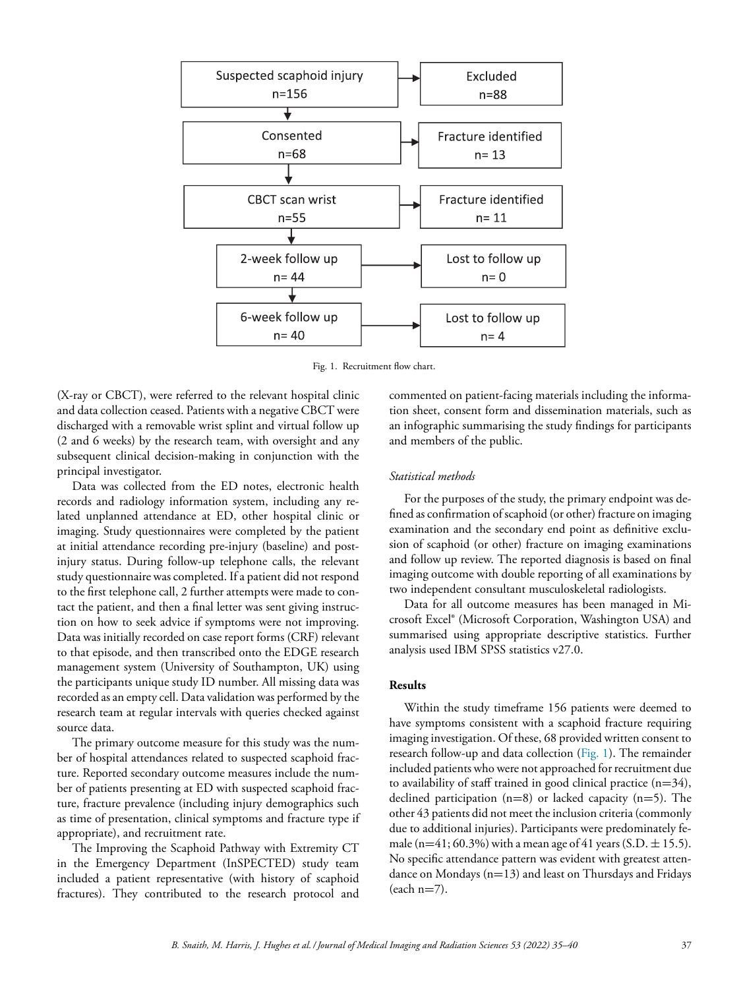

Fig. 1. Recruitment flow chart.

(X-ray or CBCT), were referred to the relevant hospital clinic and data collection ceased. Patients with a negative CBCT were discharged with a removable wrist splint and virtual follow up (2 and 6 weeks) by the research team, with oversight and any subsequent clinical decision-making in conjunction with the principal investigator.

Data was collected from the ED notes, electronic health records and radiology information system, including any related unplanned attendance at ED, other hospital clinic or imaging. Study questionnaires were completed by the patient at initial attendance recording pre-injury (baseline) and postinjury status. During follow-up telephone calls, the relevant study questionnaire was completed. If a patient did not respond to the first telephone call, 2 further attempts were made to contact the patient, and then a final letter was sent giving instruction on how to seek advice if symptoms were not improving. Data was initially recorded on case report forms (CRF) relevant to that episode, and then transcribed onto the EDGE research management system (University of Southampton, UK) using the participants unique study ID number. All missing data was recorded as an empty cell. Data validation was performed by the research team at regular intervals with queries checked against source data.

The primary outcome measure for this study was the number of hospital attendances related to suspected scaphoid fracture. Reported secondary outcome measures include the number of patients presenting at ED with suspected scaphoid fracture, fracture prevalence (including injury demographics such as time of presentation, clinical symptoms and fracture type if appropriate), and recruitment rate.

The Improving the Scaphoid Pathway with Extremity CT in the Emergency Department (InSPECTED) study team included a patient representative (with history of scaphoid fractures). They contributed to the research protocol and

commented on patient-facing materials including the information sheet, consent form and dissemination materials, such as an infographic summarising the study findings for participants and members of the public.

# *Statistical methods*

For the purposes of the study, the primary endpoint was defined as confirmation of scaphoid (or other) fracture on imaging examination and the secondary end point as definitive exclusion of scaphoid (or other) fracture on imaging examinations and follow up review. The reported diagnosis is based on final imaging outcome with double reporting of all examinations by two independent consultant musculoskeletal radiologists.

Data for all outcome measures has been managed in Microsoft Excel® (Microsoft Corporation, Washington USA) and summarised using appropriate descriptive statistics. Further analysis used IBM SPSS statistics v27.0.

# **Results**

Within the study timeframe 156 patients were deemed to have symptoms consistent with a scaphoid fracture requiring imaging investigation. Of these, 68 provided written consent to research follow-up and data collection (Fig. 1). The remainder included patients who were not approached for recruitment due to availability of staff trained in good clinical practice  $(n=34)$ , declined participation  $(n=8)$  or lacked capacity  $(n=5)$ . The other 43 patients did not meet the inclusion criteria (commonly due to additional injuries). Participants were predominately female (n=41; 60.3%) with a mean age of 41 years (S.D.  $\pm$  15.5). No specific attendance pattern was evident with greatest attendance on Mondays (n=13) and least on Thursdays and Fridays  $(each n=7)$ .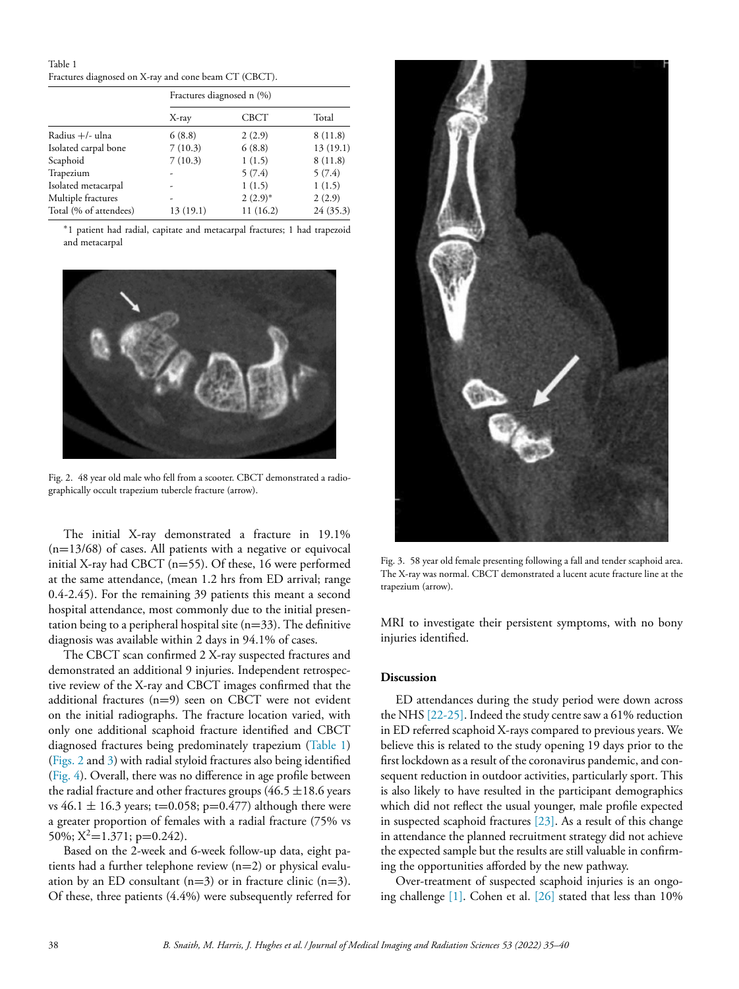Table 1 Fractures diagnosed on X-ray and cone beam CT (CBCT).

|                        | Fractures diagnosed n (%) |             |          |
|------------------------|---------------------------|-------------|----------|
|                        | X-ray                     | <b>CBCT</b> | Total    |
| Radius +/- ulna        | 6(8.8)                    | 2(2.9)      | 8(11.8)  |
| Isolated carpal bone   | 7(10.3)                   | 6(8.8)      | 13(19.1) |
| Scaphoid               | 7(10.3)                   | 1(1.5)      | 8(11.8)  |
| Trapezium              |                           | 5(7.4)      | 5(7.4)   |
| Isolated metacarpal    |                           | 1(1.5)      | 1(1.5)   |
| Multiple fractures     |                           | $2(2.9)^*$  | 2(2.9)   |
| Total (% of attendees) | 13 (19.1)                 | 11(16.2)    | 24(35.3) |

∗1 patient had radial, capitate and metacarpal fractures; 1 had trapezoid and metacarpal



Fig. 2. 48 year old male who fell from a scooter. CBCT demonstrated a radiographically occult trapezium tubercle fracture (arrow).

The initial X-ray demonstrated a fracture in 19.1%  $(n=13/68)$  of cases. All patients with a negative or equivocal initial X-ray had CBCT (n=55). Of these, 16 were performed at the same attendance, (mean 1.2 hrs from ED arrival; range 0.4-2.45). For the remaining 39 patients this meant a second hospital attendance, most commonly due to the initial presentation being to a peripheral hospital site  $(n=33)$ . The definitive diagnosis was available within 2 days in 94.1% of cases.

The CBCT scan confirmed 2 X-ray suspected fractures and demonstrated an additional 9 injuries. Independent retrospective review of the X-ray and CBCT images confirmed that the additional fractures (n=9) seen on CBCT were not evident on the initial radiographs. The fracture location varied, with only one additional scaphoid fracture identified and CBCT diagnosed fractures being predominately trapezium (Table 1) (Figs. 2 and 3) with radial styloid fractures also being identified [\(Fig.](#page-4-0) 4). Overall, there was no difference in age profile between the radial fracture and other fractures groups ( $46.5 \pm 18.6$  years vs  $46.1 \pm 16.3$  years; t=0.058; p=0.477) although there were a greater proportion of females with a radial fracture (75% vs 50%;  $X^2$ =1.371; p=0.242).

Based on the 2-week and 6-week follow-up data, eight patients had a further telephone review (n=2) or physical evaluation by an ED consultant  $(n=3)$  or in fracture clinic  $(n=3)$ . Of these, three patients (4.4%) were subsequently referred for



Fig. 3. 58 year old female presenting following a fall and tender scaphoid area. The X-ray was normal. CBCT demonstrated a lucent acute fracture line at the trapezium (arrow).

MRI to investigate their persistent symptoms, with no bony injuries identified.

## **Discussion**

ED attendances during the study period were down across the NHS [\[22-25\].](#page-5-0) Indeed the study centre saw a 61% reduction in ED referred scaphoid X-rays compared to previous years. We believe this is related to the study opening 19 days prior to the first lockdown as a result of the coronavirus pandemic, and consequent reduction in outdoor activities, particularly sport. This is also likely to have resulted in the participant demographics which did not reflect the usual younger, male profile expected in suspected scaphoid fractures [\[23\].](#page-5-0) As a result of this change in attendance the planned recruitment strategy did not achieve the expected sample but the results are still valuable in confirming the opportunities afforded by the new pathway.

Over-treatment of suspected scaphoid injuries is an ongoing challenge [\[1\].](#page-5-0) Cohen et al. [\[26\]](#page-5-0) stated that less than 10%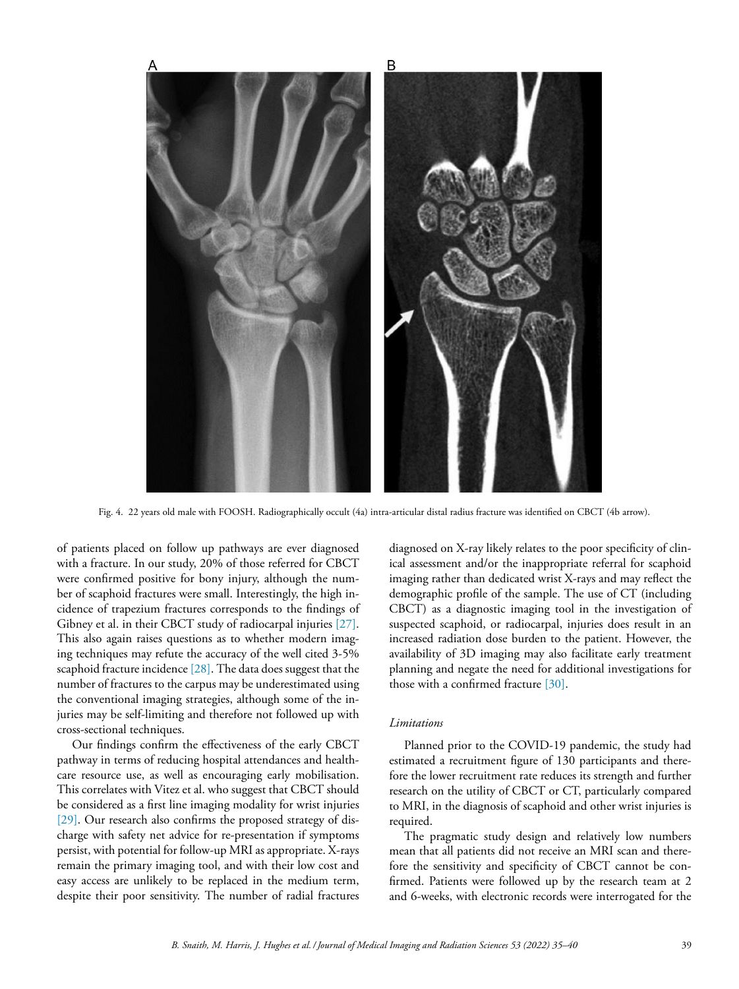<span id="page-4-0"></span>

Fig. 4. 22 years old male with FOOSH. Radiographically occult (4a) intra-articular distal radius fracture was identified on CBCT (4b arrow).

of patients placed on follow up pathways are ever diagnosed with a fracture. In our study, 20% of those referred for CBCT were confirmed positive for bony injury, although the number of scaphoid fractures were small. Interestingly, the high incidence of trapezium fractures corresponds to the findings of Gibney et al. in their CBCT study of radiocarpal injuries [\[27\].](#page-5-0) This also again raises questions as to whether modern imaging techniques may refute the accuracy of the well cited 3-5% scaphoid fracture incidence  $[28]$ . The data does suggest that the number of fractures to the carpus may be underestimated using the conventional imaging strategies, although some of the injuries may be self-limiting and therefore not followed up with cross-sectional techniques.

Our findings confirm the effectiveness of the early CBCT pathway in terms of reducing hospital attendances and healthcare resource use, as well as encouraging early mobilisation. This correlates with Vitez et al. who suggest that CBCT should be considered as a first line imaging modality for wrist injuries [\[29\].](#page-5-0) Our research also confirms the proposed strategy of discharge with safety net advice for re-presentation if symptoms persist, with potential for follow-up MRI as appropriate. X-rays remain the primary imaging tool, and with their low cost and easy access are unlikely to be replaced in the medium term, despite their poor sensitivity. The number of radial fractures

diagnosed on X-ray likely relates to the poor specificity of clinical assessment and/or the inappropriate referral for scaphoid imaging rather than dedicated wrist X-rays and may reflect the demographic profile of the sample. The use of CT (including CBCT) as a diagnostic imaging tool in the investigation of suspected scaphoid, or radiocarpal, injuries does result in an increased radiation dose burden to the patient. However, the availability of 3D imaging may also facilitate early treatment planning and negate the need for additional investigations for those with a confirmed fracture [\[30\].](#page-5-0)

## *Limitations*

Planned prior to the COVID-19 pandemic, the study had estimated a recruitment figure of 130 participants and therefore the lower recruitment rate reduces its strength and further research on the utility of CBCT or CT, particularly compared to MRI, in the diagnosis of scaphoid and other wrist injuries is required.

The pragmatic study design and relatively low numbers mean that all patients did not receive an MRI scan and therefore the sensitivity and specificity of CBCT cannot be confirmed. Patients were followed up by the research team at 2 and 6-weeks, with electronic records were interrogated for the